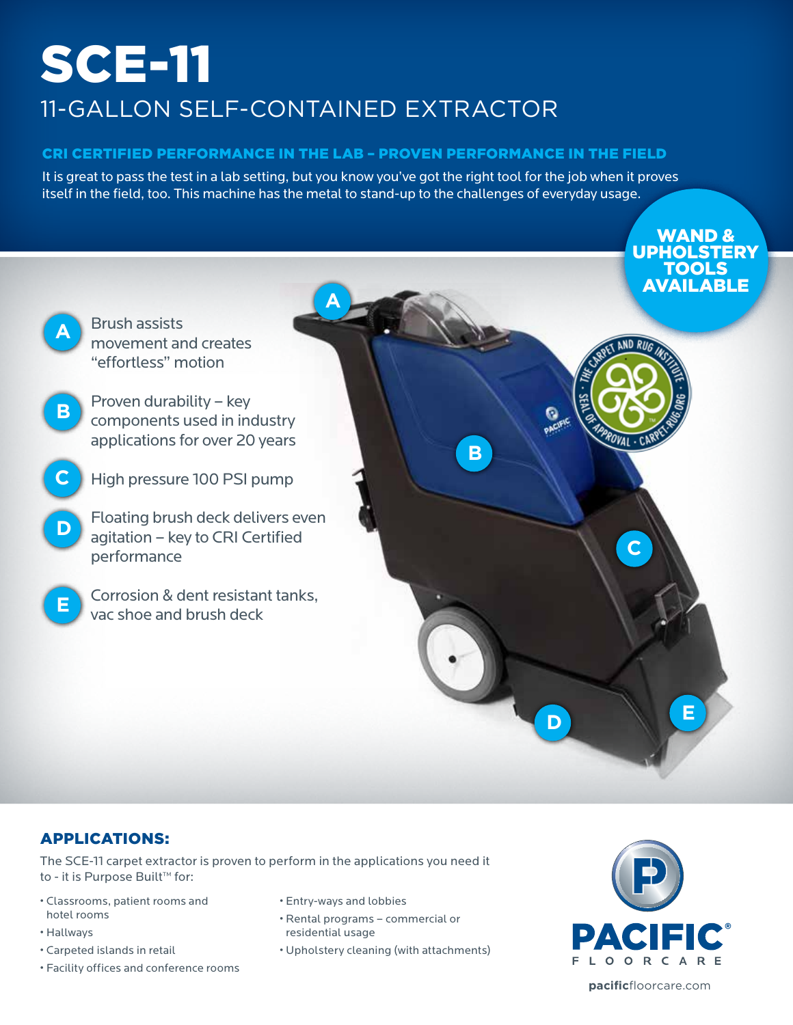# SCE-11 11-GALLON SELF-CONTAINED EXTRACTOR

### CRI Certified performance in the lab – proven performance in the field

It is great to pass the test in a lab setting, but you know you've got the right tool for the job when it proves itself in the field, too. This machine has the metal to stand-up to the challenges of everyday usage.



### Applications:

The SCE-11 carpet extractor is proven to perform in the applications you need it to - it is Purpose Built™ for:

- Classrooms, patient rooms and hotel rooms
- Hallways
- Carpeted islands in retail
- Facility offices and conference rooms
- Entry-ways and lobbies
- Rental programs commercial or residential usage
- Upholstery cleaning (with attachments)



**pacific**floorcare.com